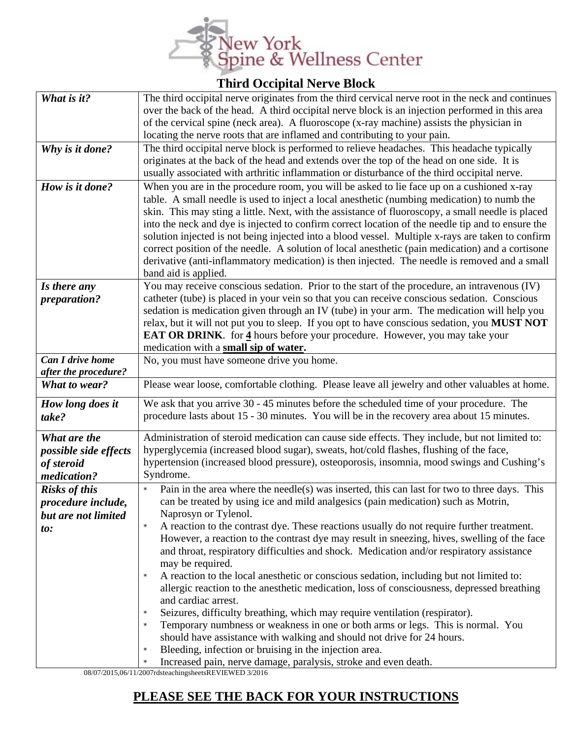

## **Third Occipital Nerve Block**

| What is it?                  | The third occipital nerve originates from the third cervical nerve root in the neck and continues       |
|------------------------------|---------------------------------------------------------------------------------------------------------|
|                              | over the back of the head. A third occipital nerve block is an injection performed in this area         |
|                              | of the cervical spine (neck area). A fluoroscope (x-ray machine) assists the physician in               |
|                              | locating the nerve roots that are inflamed and contributing to your pain.                               |
| Why is it done?              | The third occipital nerve block is performed to relieve headaches. This headache typically              |
|                              | originates at the back of the head and extends over the top of the head on one side. It is              |
|                              | usually associated with arthritic inflammation or disturbance of the third occipital nerve.             |
| How is it done?              | When you are in the procedure room, you will be asked to lie face up on a cushioned x-ray               |
|                              | table. A small needle is used to inject a local anesthetic (numbing medication) to numb the             |
|                              | skin. This may sting a little. Next, with the assistance of fluoroscopy, a small needle is placed       |
|                              | into the neck and dye is injected to confirm correct location of the needle tip and to ensure the       |
|                              | solution injected is not being injected into a blood vessel. Multiple x-rays are taken to confirm       |
|                              | correct position of the needle. A solution of local anesthetic (pain medication) and a cortisone        |
|                              |                                                                                                         |
|                              | derivative (anti-inflammatory medication) is then injected. The needle is removed and a small           |
|                              | band aid is applied.                                                                                    |
| Is there any                 | You may receive conscious sedation. Prior to the start of the procedure, an intravenous (IV)            |
| preparation?                 | catheter (tube) is placed in your vein so that you can receive conscious sedation. Conscious            |
|                              | sedation is medication given through an IV (tube) in your arm. The medication will help you             |
|                              | relax, but it will not put you to sleep. If you opt to have conscious sedation, you MUST NOT            |
|                              | <b>EAT OR DRINK.</b> for 4 hours before your procedure. However, you may take your                      |
|                              | medication with a small sip of water.                                                                   |
| <b>Can I drive home</b>      | No, you must have someone drive you home.                                                               |
| after the procedure?         |                                                                                                         |
| What to wear?                | Please wear loose, comfortable clothing. Please leave all jewelry and other valuables at home.          |
| How long does it             | We ask that you arrive 30 - 45 minutes before the scheduled time of your procedure. The                 |
| take?                        | procedure lasts about 15 - 30 minutes. You will be in the recovery area about 15 minutes.               |
|                              |                                                                                                         |
| What are the                 | Administration of steroid medication can cause side effects. They include, but not limited to:          |
| possible side effects        | hyperglycemia (increased blood sugar), sweats, hot/cold flashes, flushing of the face,                  |
| of steroid                   | hypertension (increased blood pressure), osteoporosis, insomnia, mood swings and Cushing's              |
| medication?                  | Syndrome.                                                                                               |
| <b>Risks of this</b>         | Pain in the area where the needle(s) was inserted, this can last for two to three days. This<br>$\star$ |
| procedure include,           | can be treated by using ice and mild analgesics (pain medication) such as Motrin,                       |
| but are not limited          | Naprosyn or Tylenol.                                                                                    |
| $\boldsymbol{\mathit{to}}$ : | A reaction to the contrast dye. These reactions usually do not require further treatment.               |
|                              | However, a reaction to the contrast dye may result in sneezing, hives, swelling of the face             |
|                              | and throat, respiratory difficulties and shock. Medication and/or respiratory assistance                |
|                              | may be required.                                                                                        |
|                              | A reaction to the local anesthetic or conscious sedation, including but not limited to:                 |
|                              | allergic reaction to the anesthetic medication, loss of consciousness, depressed breathing              |
|                              | and cardiac arrest.                                                                                     |
|                              | Seizures, difficulty breathing, which may require ventilation (respirator).<br>$\star$                  |
|                              | Temporary numbness or weakness in one or both arms or legs. This is normal. You<br>$\star$              |
|                              | should have assistance with walking and should not drive for 24 hours.                                  |
|                              | Bleeding, infection or bruising in the injection area.<br>$\star$                                       |
|                              | Increased pain, nerve damage, paralysis, stroke and even death.                                         |

08/07/2015,06/11/2007rdsteachingsheetsREVIEWED 3/2016

## **PLEASE SEE THE BACK FOR YOUR INSTRUCTIONS**